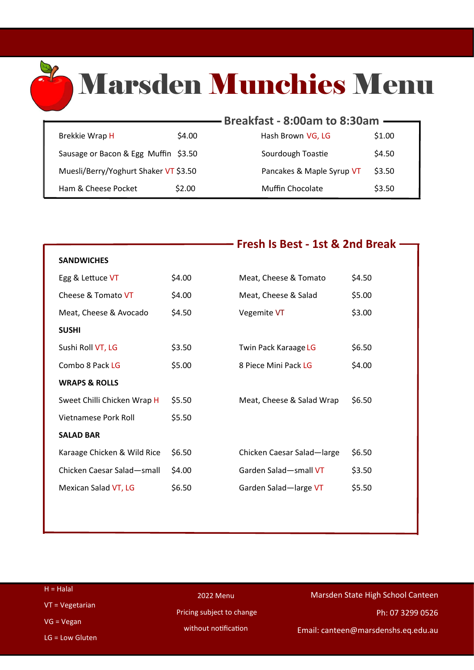# Marsden Munchies Menu

**Fresh Is Best - 1st & 2nd Break**

|                                       |        | Breakfast - 8:00am to 8:30am |        |
|---------------------------------------|--------|------------------------------|--------|
|                                       |        |                              |        |
| Brekkie Wrap H                        | \$4.00 | Hash Brown VG, LG            | \$1.00 |
| Sausage or Bacon & Egg Muffin \$3.50  |        | Sourdough Toastie            | \$4.50 |
| Muesli/Berry/Yoghurt Shaker VT \$3.50 |        | Pancakes & Maple Syrup VT    | \$3.50 |
| Ham & Cheese Pocket                   | \$2.00 | <b>Muffin Chocolate</b>      | \$3.50 |

R

|                             |        | FIESII IS DESL - ISL & ZIIU DIEAR |        |
|-----------------------------|--------|-----------------------------------|--------|
| <b>SANDWICHES</b>           |        |                                   |        |
| Egg & Lettuce VT            | \$4.00 | Meat, Cheese & Tomato             | \$4.50 |
| Cheese & Tomato VT          | \$4.00 | Meat, Cheese & Salad              | \$5.00 |
| Meat, Cheese & Avocado      | \$4.50 | Vegemite VT                       | \$3.00 |
| <b>SUSHI</b>                |        |                                   |        |
| Sushi Roll VT, LG           | \$3.50 | Twin Pack Karaage LG              | \$6.50 |
| Combo 8 Pack LG             | \$5.00 | 8 Piece Mini Pack LG              | \$4.00 |
| <b>WRAPS &amp; ROLLS</b>    |        |                                   |        |
| Sweet Chilli Chicken Wrap H | \$5.50 | Meat, Cheese & Salad Wrap         | \$6.50 |
| Vietnamese Pork Roll        | \$5.50 |                                   |        |
| <b>SALAD BAR</b>            |        |                                   |        |
| Karaage Chicken & Wild Rice | \$6.50 | Chicken Caesar Salad-large        | \$6.50 |
| Chicken Caesar Salad-small  | \$4.00 | Garden Salad-small VT             | \$3.50 |
| Mexican Salad VT, LG        | \$6.50 | Garden Salad-large VT             | \$5.50 |
|                             |        |                                   |        |

| $H = Halal$       | 2022 Menu                 | Marsden State High School Canteen   |  |
|-------------------|---------------------------|-------------------------------------|--|
| $VT = Vegetarian$ | Pricing subject to change | Ph: 07 3299 0526                    |  |
| $VG = Vegan$      | without notification      |                                     |  |
| $LG = Low Gluten$ |                           | Email: canteen@marsdenshs.eq.edu.au |  |
|                   |                           |                                     |  |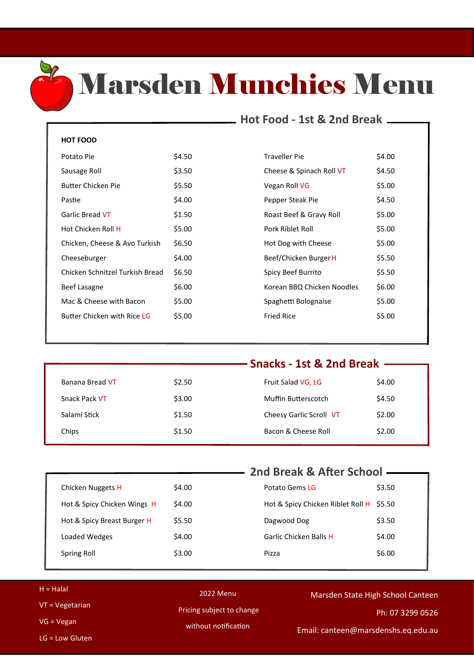

### Marsden Munchies Menu

### **Hot Food - 1st & 2nd Break**

#### **HOT FOOD**

| Potato Pie                      | \$4.50 |
|---------------------------------|--------|
| Sausage Roll                    | \$3.50 |
| Butter Chicken Pie              | \$5.50 |
| Pastie                          | \$4.00 |
| Garlic Bread VT                 | \$1.50 |
| Hot Chicken Roll H              | \$5.00 |
| Chicken, Cheese & Avo Turkish   | \$6.50 |
| Cheeseburger                    | \$4.00 |
| Chicken Schnitzel Turkish Bread | \$6.50 |
| Beef Lasagne                    | \$6.00 |
| Mac & Cheese with Bacon         | \$5.00 |
| Butter Chicken with Rice LG     | \$5.00 |

| Potato Pie                      | \$4.50 | <b>Traveller Pie</b>       | \$4.00 |
|---------------------------------|--------|----------------------------|--------|
| Sausage Roll                    | \$3.50 | Cheese & Spinach Roll VT   | \$4.50 |
| Butter Chicken Pie              | \$5.50 | Vegan Roll VG              | \$5.00 |
| Pastie                          | \$4.00 | Pepper Steak Pie           | \$4.50 |
| Garlic Bread VT                 | \$1.50 | Roast Beef & Gravy Roll    | \$5.00 |
| Hot Chicken Roll H              | \$5.00 | Pork Riblet Roll           | \$5.00 |
| Chicken, Cheese & Avo Turkish   | \$6.50 | Hot Dog with Cheese        | \$5.00 |
| Cheeseburger                    | \$4.00 | Beef/Chicken Burger H      | \$5.50 |
| Chicken Schnitzel Turkish Bread | \$6.50 | Spicy Beef Burrito         | \$5.50 |
| Beef Lasagne                    | \$6.00 | Korean BBQ Chicken Noodles | \$6.00 |
| Mac & Cheese with Bacon         | \$5.00 | Spaghetti Bolognaise       | \$5.00 |
| Butter Chicken with Rice LG     | \$5.00 | <b>Fried Rice</b>          | \$5.00 |
|                                 |        |                            |        |

| Snacks - 1st & 2nd Break - |                         |        |                 |
|----------------------------|-------------------------|--------|-----------------|
|                            |                         |        |                 |
| \$4.00                     | Fruit Salad VG, LG      | \$2.50 | Banana Bread VT |
| \$4.50                     | Muffin Butterscotch     | \$3.00 | Snack Pack VT   |
| \$2.00                     | Cheesy Garlic Scroll VT | \$1.50 | Salami Stick    |
| \$2.00                     | Bacon & Cheese Roll     | \$1.50 | Chips           |
|                            |                         |        |                 |

|                             |        | 2nd Break & After School -               |        |
|-----------------------------|--------|------------------------------------------|--------|
|                             |        |                                          |        |
| Chicken Nuggets H           | \$4.00 | Potato Gems LG                           | \$3.50 |
| Hot & Spicy Chicken Wings H | \$4.00 | Hot & Spicy Chicken Riblet Roll H \$5.50 |        |
| Hot & Spicy Breast Burger H | \$5.50 | Dagwood Dog                              | \$3.50 |
| Loaded Wedges               | \$4.00 | Garlic Chicken Balls H                   | \$4.00 |
| Spring Roll                 | \$3.00 | Pizza                                    | \$6.00 |
|                             |        |                                          |        |

| $H = Halal$       | 2022 Menu                 | Marsden State High School Canteen   |
|-------------------|---------------------------|-------------------------------------|
| $VT = Vegetarian$ |                           |                                     |
|                   | Pricing subject to change | Ph: 07 3299 0526                    |
| $VG = Vegan$      |                           |                                     |
|                   | without notification      | Email: canteen@marsdenshs.eq.edu.au |
| $LG = Low Gluten$ |                           |                                     |